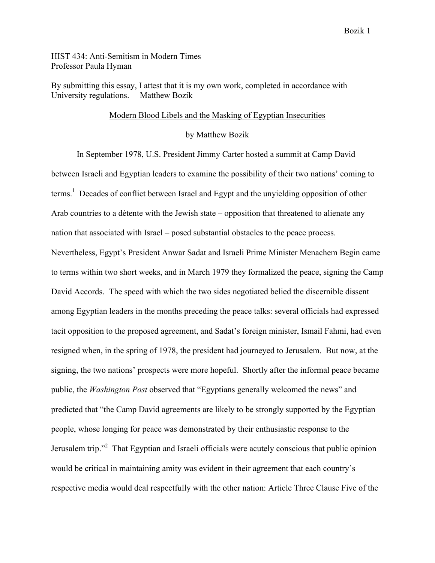HIST 434: Anti-Semitism in Modern Times Professor Paula Hyman

By submitting this essay, I attest that it is my own work, completed in accordance with University regulations. —Matthew Bozik

## Modern Blood Libels and the Masking of Egyptian Insecurities

by Matthew Bozik

In September 1978, U.S. President Jimmy Carter hosted a summit at Camp David between Israeli and Egyptian leaders to examine the possibility of their two nations' coming to terms.<sup>1</sup> Decades of conflict between Israel and Egypt and the unyielding opposition of other Arab countries to a détente with the Jewish state – opposition that threatened to alienate any nation that associated with Israel – posed substantial obstacles to the peace process. Nevertheless, Egypt's President Anwar Sadat and Israeli Prime Minister Menachem Begin came to terms within two short weeks, and in March 1979 they formalized the peace, signing the Camp David Accords. The speed with which the two sides negotiated belied the discernible dissent among Egyptian leaders in the months preceding the peace talks: several officials had expressed tacit opposition to the proposed agreement, and Sadat's foreign minister, Ismail Fahmi, had even resigned when, in the spring of 1978, the president had journeyed to Jerusalem. But now, at the signing, the two nations' prospects were more hopeful. Shortly after the informal peace became public, the *Washington Post* observed that "Egyptians generally welcomed the news" and predicted that "the Camp David agreements are likely to be strongly supported by the Egyptian people, whose longing for peace was demonstrated by their enthusiastic response to the Jerusalem trip."<sup>2</sup> That Egyptian and Israeli officials were acutely conscious that public opinion would be critical in maintaining amity was evident in their agreement that each country's respective media would deal respectfully with the other nation: Article Three Clause Five of the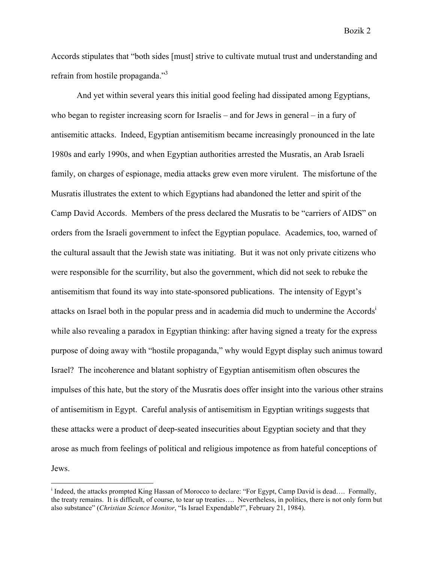Accords stipulates that "both sides [must] strive to cultivate mutual trust and understanding and refrain from hostile propaganda."<sup>3</sup>

And yet within several years this initial good feeling had dissipated among Egyptians, who began to register increasing scorn for Israelis – and for Jews in general – in a fury of antisemitic attacks. Indeed, Egyptian antisemitism became increasingly pronounced in the late 1980s and early 1990s, and when Egyptian authorities arrested the Musratis, an Arab Israeli family, on charges of espionage, media attacks grew even more virulent. The misfortune of the Musratis illustrates the extent to which Egyptians had abandoned the letter and spirit of the Camp David Accords. Members of the press declared the Musratis to be "carriers of AIDS" on orders from the Israeli government to infect the Egyptian populace. Academics, too, warned of the cultural assault that the Jewish state was initiating. But it was not only private citizens who were responsible for the scurrility, but also the government, which did not seek to rebuke the antisemitism that found its way into state-sponsored publications. The intensity of Egypt's attacks on Israel both in the popular press and in academia did much to undermine the Accords<sup>1</sup> while also revealing a paradox in Egyptian thinking: after having signed a treaty for the express purpose of doing away with "hostile propaganda," why would Egypt display such animus toward Israel? The incoherence and blatant sophistry of Egyptian antisemitism often obscures the impulses of this hate, but the story of the Musratis does offer insight into the various other strains of antisemitism in Egypt. Careful analysis of antisemitism in Egyptian writings suggests that these attacks were a product of deep-seated insecurities about Egyptian society and that they arose as much from feelings of political and religious impotence as from hateful conceptions of Jews.

<sup>|&</sup>lt;br>i  $\textsuperscript{i}$  Indeed, the attacks prompted King Hassan of Morocco to declare: "For Egypt, Camp David is dead.... Formally, the treaty remains. It is difficult, of course, to tear up treaties…. Nevertheless, in politics, there is not only form but also substance" (*Christian Science Monitor*, "Is Israel Expendable?", February 21, 1984).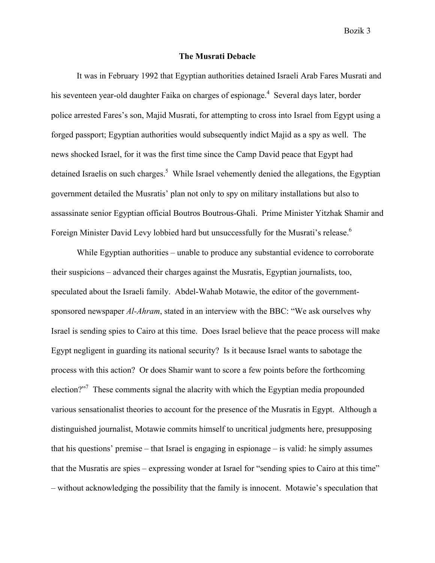## **The Musrati Debacle**

It was in February 1992 that Egyptian authorities detained Israeli Arab Fares Musrati and his seventeen year-old daughter Faika on charges of espionage.<sup>4</sup> Several days later, border police arrested Fares's son, Majid Musrati, for attempting to cross into Israel from Egypt using a forged passport; Egyptian authorities would subsequently indict Majid as a spy as well. The news shocked Israel, for it was the first time since the Camp David peace that Egypt had detained Israelis on such charges.<sup>5</sup> While Israel vehemently denied the allegations, the Egyptian government detailed the Musratis' plan not only to spy on military installations but also to assassinate senior Egyptian official Boutros Boutrous-Ghali. Prime Minister Yitzhak Shamir and Foreign Minister David Levy lobbied hard but unsuccessfully for the Musrati's release.<sup>6</sup>

While Egyptian authorities – unable to produce any substantial evidence to corroborate their suspicions – advanced their charges against the Musratis, Egyptian journalists, too, speculated about the Israeli family. Abdel-Wahab Motawie, the editor of the governmentsponsored newspaper *Al-Ahram*, stated in an interview with the BBC: "We ask ourselves why Israel is sending spies to Cairo at this time. Does Israel believe that the peace process will make Egypt negligent in guarding its national security? Is it because Israel wants to sabotage the process with this action? Or does Shamir want to score a few points before the forthcoming election? $2^{7}$  These comments signal the alacrity with which the Egyptian media propounded various sensationalist theories to account for the presence of the Musratis in Egypt. Although a distinguished journalist, Motawie commits himself to uncritical judgments here, presupposing that his questions' premise – that Israel is engaging in espionage – is valid: he simply assumes that the Musratis are spies – expressing wonder at Israel for "sending spies to Cairo at this time" – without acknowledging the possibility that the family is innocent. Motawie's speculation that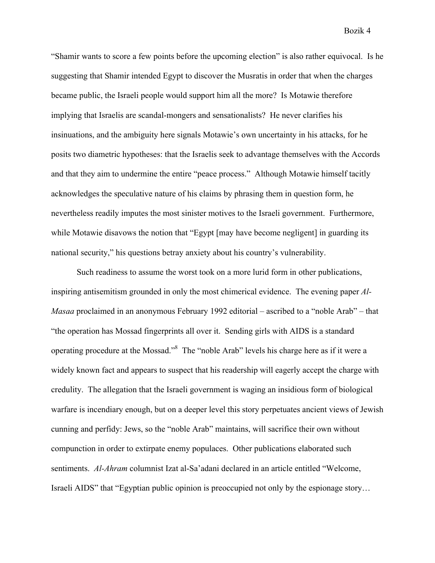"Shamir wants to score a few points before the upcoming election" is also rather equivocal. Is he suggesting that Shamir intended Egypt to discover the Musratis in order that when the charges became public, the Israeli people would support him all the more? Is Motawie therefore implying that Israelis are scandal-mongers and sensationalists? He never clarifies his insinuations, and the ambiguity here signals Motawie's own uncertainty in his attacks, for he posits two diametric hypotheses: that the Israelis seek to advantage themselves with the Accords and that they aim to undermine the entire "peace process." Although Motawie himself tacitly acknowledges the speculative nature of his claims by phrasing them in question form, he nevertheless readily imputes the most sinister motives to the Israeli government. Furthermore, while Motawie disavows the notion that "Egypt [may have become negligent] in guarding its national security," his questions betray anxiety about his country's vulnerability.

Such readiness to assume the worst took on a more lurid form in other publications, inspiring antisemitism grounded in only the most chimerical evidence. The evening paper *Al-Masaa* proclaimed in an anonymous February 1992 editorial – ascribed to a "noble Arab" – that "the operation has Mossad fingerprints all over it. Sending girls with AIDS is a standard operating procedure at the Mossad."<sup>8</sup> The "noble Arab" levels his charge here as if it were a widely known fact and appears to suspect that his readership will eagerly accept the charge with credulity. The allegation that the Israeli government is waging an insidious form of biological warfare is incendiary enough, but on a deeper level this story perpetuates ancient views of Jewish cunning and perfidy: Jews, so the "noble Arab" maintains, will sacrifice their own without compunction in order to extirpate enemy populaces. Other publications elaborated such sentiments. *Al-Ahram* columnist Izat al-Sa'adani declared in an article entitled "Welcome, Israeli AIDS" that "Egyptian public opinion is preoccupied not only by the espionage story…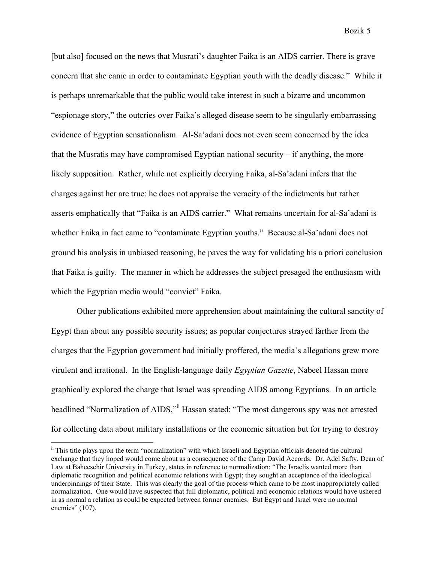[but also] focused on the news that Musrati's daughter Faika is an AIDS carrier. There is grave concern that she came in order to contaminate Egyptian youth with the deadly disease." While it is perhaps unremarkable that the public would take interest in such a bizarre and uncommon "espionage story," the outcries over Faika's alleged disease seem to be singularly embarrassing evidence of Egyptian sensationalism. Al-Sa'adani does not even seem concerned by the idea that the Musratis may have compromised Egyptian national security – if anything, the more likely supposition. Rather, while not explicitly decrying Faika, al-Sa'adani infers that the charges against her are true: he does not appraise the veracity of the indictments but rather asserts emphatically that "Faika is an AIDS carrier." What remains uncertain for al-Sa'adani is whether Faika in fact came to "contaminate Egyptian youths." Because al-Sa'adani does not ground his analysis in unbiased reasoning, he paves the way for validating his a priori conclusion that Faika is guilty. The manner in which he addresses the subject presaged the enthusiasm with which the Egyptian media would "convict" Faika.

Other publications exhibited more apprehension about maintaining the cultural sanctity of Egypt than about any possible security issues; as popular conjectures strayed farther from the charges that the Egyptian government had initially proffered, the media's allegations grew more virulent and irrational. In the English-language daily *Egyptian Gazette*, Nabeel Hassan more graphically explored the charge that Israel was spreading AIDS among Egyptians. In an article headlined "Normalization of AIDS," Hassan stated: "The most dangerous spy was not arrested for collecting data about military installations or the economic situation but for trying to destroy

ii This title plays upon the term "normalization" with which Israeli and Egyptian officials denoted the cultural exchange that they hoped would come about as a consequence of the Camp David Accords. Dr. Adel Safty, Dean of Law at Bahcesehir University in Turkey, states in reference to normalization: "The Israelis wanted more than diplomatic recognition and political economic relations with Egypt; they sought an acceptance of the ideological underpinnings of their State. This was clearly the goal of the process which came to be most inappropriately called normalization. One would have suspected that full diplomatic, political and economic relations would have ushered in as normal a relation as could be expected between former enemies. But Egypt and Israel were no normal enemies" (107).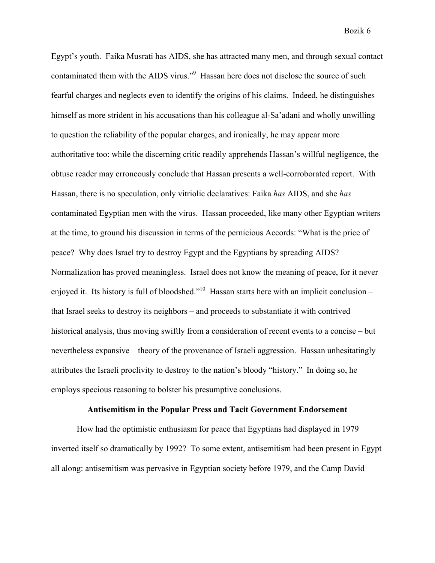Egypt's youth. Faika Musrati has AIDS, she has attracted many men, and through sexual contact contaminated them with the AIDS virus."<sup>9</sup> Hassan here does not disclose the source of such fearful charges and neglects even to identify the origins of his claims. Indeed, he distinguishes himself as more strident in his accusations than his colleague al-Sa'adani and wholly unwilling to question the reliability of the popular charges, and ironically, he may appear more authoritative too: while the discerning critic readily apprehends Hassan's willful negligence, the obtuse reader may erroneously conclude that Hassan presents a well-corroborated report. With Hassan, there is no speculation, only vitriolic declaratives: Faika *has* AIDS, and she *has*  contaminated Egyptian men with the virus. Hassan proceeded, like many other Egyptian writers at the time, to ground his discussion in terms of the pernicious Accords: "What is the price of peace? Why does Israel try to destroy Egypt and the Egyptians by spreading AIDS? Normalization has proved meaningless. Israel does not know the meaning of peace, for it never enjoyed it. Its history is full of bloodshed."<sup>10</sup> Hassan starts here with an implicit conclusion – that Israel seeks to destroy its neighbors – and proceeds to substantiate it with contrived historical analysis, thus moving swiftly from a consideration of recent events to a concise – but nevertheless expansive – theory of the provenance of Israeli aggression. Hassan unhesitatingly attributes the Israeli proclivity to destroy to the nation's bloody "history." In doing so, he employs specious reasoning to bolster his presumptive conclusions.

#### **Antisemitism in the Popular Press and Tacit Government Endorsement**

How had the optimistic enthusiasm for peace that Egyptians had displayed in 1979 inverted itself so dramatically by 1992? To some extent, antisemitism had been present in Egypt all along: antisemitism was pervasive in Egyptian society before 1979, and the Camp David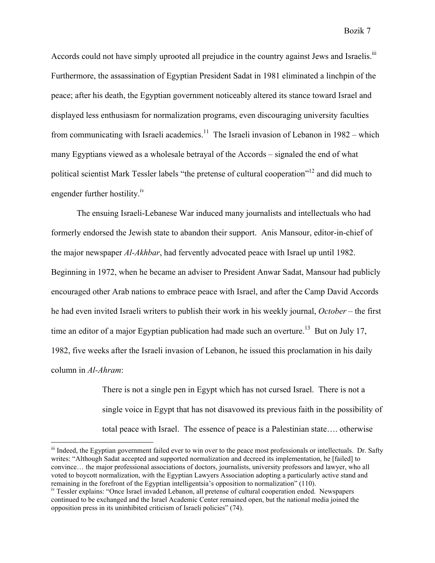Accords could not have simply uprooted all prejudice in the country against Jews and Israelis.<sup>iii</sup> Furthermore, the assassination of Egyptian President Sadat in 1981 eliminated a linchpin of the peace; after his death, the Egyptian government noticeably altered its stance toward Israel and displayed less enthusiasm for normalization programs, even discouraging university faculties from communicating with Israeli academics.<sup>11</sup> The Israeli invasion of Lebanon in 1982 – which many Egyptians viewed as a wholesale betrayal of the Accords – signaled the end of what political scientist Mark Tessler labels "the pretense of cultural cooperation"12 and did much to engender further hostility.<sup>iv</sup>

The ensuing Israeli-Lebanese War induced many journalists and intellectuals who had formerly endorsed the Jewish state to abandon their support. Anis Mansour, editor-in-chief of the major newspaper *Al-Akhbar*, had fervently advocated peace with Israel up until 1982. Beginning in 1972, when he became an adviser to President Anwar Sadat, Mansour had publicly encouraged other Arab nations to embrace peace with Israel, and after the Camp David Accords he had even invited Israeli writers to publish their work in his weekly journal, *October* – the first time an editor of a major Egyptian publication had made such an overture.<sup>13</sup> But on July 17, 1982, five weeks after the Israeli invasion of Lebanon, he issued this proclamation in his daily column in *Al-Ahram*:

> There is not a single pen in Egypt which has not cursed Israel. There is not a single voice in Egypt that has not disavowed its previous faith in the possibility of total peace with Israel. The essence of peace is a Palestinian state…. otherwise

iii Indeed, the Egyptian government failed ever to win over to the peace most professionals or intellectuals. Dr. Safty writes: "Although Sadat accepted and supported normalization and decreed its implementation, he [failed] to convince… the major professional associations of doctors, journalists, university professors and lawyer, who all voted to boycott normalization, with the Egyptian Lawyers Association adopting a particularly active stand and remaining in the forefront of the Egyptian intelligentsia's opposition to normalization" (110). iv Tessler explains: "Once Israel invaded Lebanon, all pretense of cultural cooperation ended. Newspapers

continued to be exchanged and the Israel Academic Center remained open, but the national media joined the opposition press in its uninhibited criticism of Israeli policies" (74).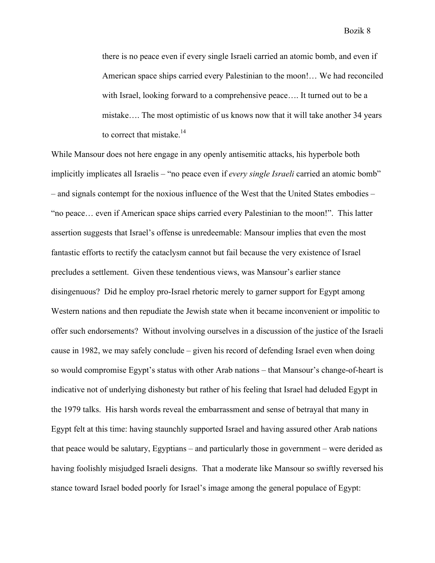there is no peace even if every single Israeli carried an atomic bomb, and even if American space ships carried every Palestinian to the moon!… We had reconciled with Israel, looking forward to a comprehensive peace…. It turned out to be a mistake…. The most optimistic of us knows now that it will take another 34 years to correct that mistake.<sup>14</sup>

While Mansour does not here engage in any openly antisemitic attacks, his hyperbole both implicitly implicates all Israelis – "no peace even if *every single Israeli* carried an atomic bomb" – and signals contempt for the noxious influence of the West that the United States embodies – "no peace… even if American space ships carried every Palestinian to the moon!". This latter assertion suggests that Israel's offense is unredeemable: Mansour implies that even the most fantastic efforts to rectify the cataclysm cannot but fail because the very existence of Israel precludes a settlement. Given these tendentious views, was Mansour's earlier stance disingenuous? Did he employ pro-Israel rhetoric merely to garner support for Egypt among Western nations and then repudiate the Jewish state when it became inconvenient or impolitic to offer such endorsements? Without involving ourselves in a discussion of the justice of the Israeli cause in 1982, we may safely conclude – given his record of defending Israel even when doing so would compromise Egypt's status with other Arab nations – that Mansour's change-of-heart is indicative not of underlying dishonesty but rather of his feeling that Israel had deluded Egypt in the 1979 talks. His harsh words reveal the embarrassment and sense of betrayal that many in Egypt felt at this time: having staunchly supported Israel and having assured other Arab nations that peace would be salutary, Egyptians – and particularly those in government – were derided as having foolishly misjudged Israeli designs. That a moderate like Mansour so swiftly reversed his stance toward Israel boded poorly for Israel's image among the general populace of Egypt: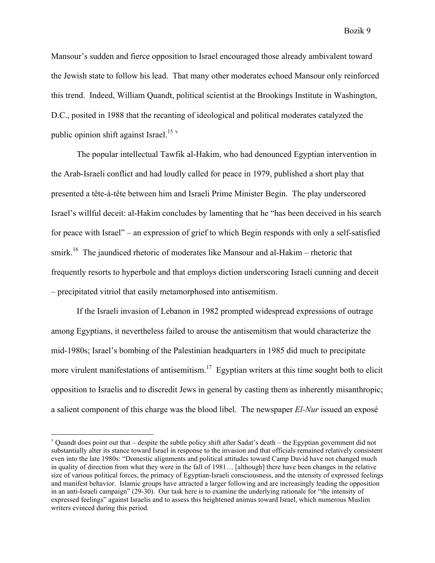Mansour's sudden and fierce opposition to Israel encouraged those already ambivalent toward the Jewish state to follow his lead. That many other moderates echoed Mansour only reinforced this trend. Indeed, William Quandt, political scientist at the Brookings Institute in Washington, D.C., posited in 1988 that the recanting of ideological and political moderates catalyzed the public opinion shift against Israel.<sup>15</sup> v

The popular intellectual Tawfik al-Hakim, who had denounced Egyptian intervention in the Arab-Israeli conflict and had loudly called for peace in 1979, published a short play that presented a tête-à-tête between him and Israeli Prime Minister Begin. The play underscored Israel's willful deceit: al-Hakim concludes by lamenting that he "has been deceived in his search for peace with Israel" – an expression of grief to which Begin responds with only a self-satisfied smirk.<sup>16</sup> The jaundiced rhetoric of moderates like Mansour and al-Hakim – rhetoric that frequently resorts to hyperbole and that employs diction underscoring Israeli cunning and deceit – precipitated vitriol that easily metamorphosed into antisemitism.

If the Israeli invasion of Lebanon in 1982 prompted widespread expressions of outrage among Egyptians, it nevertheless failed to arouse the antisemitism that would characterize the mid-1980s; Israel's bombing of the Palestinian headquarters in 1985 did much to precipitate more virulent manifestations of antisemitism.<sup>17</sup> Egyptian writers at this time sought both to elicit opposition to Israelis and to discredit Jews in general by casting them as inherently misanthropic; a salient component of this charge was the blood libel. The newspaper *El-Nur* issued an exposé

<sup>&</sup>lt;sup>v</sup> Quandt does point out that – despite the subtle policy shift after Sadat's death – the Egyptian government did not substantially alter its stance toward Israel in response to the invasion and that officials remained relatively consistent even into the late 1980s: "Domestic alignments and political attitudes toward Camp David have not changed much in quality of direction from what they were in the fall of 1981… [although] there have been changes in the relative size of various political forces, the primacy of Egyptian-Israeli consciousness, and the intensity of expressed feelings and manifest behavior. Islamic groups have attracted a larger following and are increasingly leading the opposition in an anti-Israeli campaign" (29-30). Our task here is to examine the underlying rationale for "the intensity of expressed feelings" against Israelis and to assess this heightened animus toward Israel, which numerous Muslim writers evinced during this period.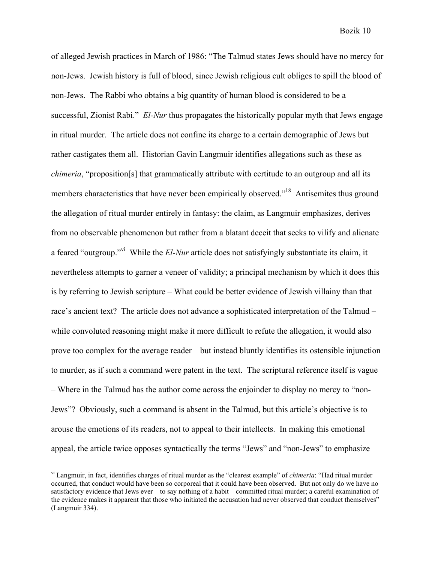of alleged Jewish practices in March of 1986: "The Talmud states Jews should have no mercy for non-Jews. Jewish history is full of blood, since Jewish religious cult obliges to spill the blood of non-Jews. The Rabbi who obtains a big quantity of human blood is considered to be a successful, Zionist Rabi." *El-Nur* thus propagates the historically popular myth that Jews engage in ritual murder. The article does not confine its charge to a certain demographic of Jews but rather castigates them all. Historian Gavin Langmuir identifies allegations such as these as *chimeria*, "proposition[s] that grammatically attribute with certitude to an outgroup and all its members characteristics that have never been empirically observed."<sup>18</sup> Antisemites thus ground the allegation of ritual murder entirely in fantasy: the claim, as Langmuir emphasizes, derives from no observable phenomenon but rather from a blatant deceit that seeks to vilify and alienate a feared "outgroup."vi While the *El-Nur* article does not satisfyingly substantiate its claim, it nevertheless attempts to garner a veneer of validity; a principal mechanism by which it does this is by referring to Jewish scripture – What could be better evidence of Jewish villainy than that race's ancient text? The article does not advance a sophisticated interpretation of the Talmud – while convoluted reasoning might make it more difficult to refute the allegation, it would also prove too complex for the average reader – but instead bluntly identifies its ostensible injunction to murder, as if such a command were patent in the text. The scriptural reference itself is vague – Where in the Talmud has the author come across the enjoinder to display no mercy to "non-Jews"? Obviously, such a command is absent in the Talmud, but this article's objective is to arouse the emotions of its readers, not to appeal to their intellects. In making this emotional appeal, the article twice opposes syntactically the terms "Jews" and "non-Jews" to emphasize

vi Langmuir, in fact, identifies charges of ritual murder as the "clearest example" of *chimeria*: "Had ritual murder occurred, that conduct would have been so corporeal that it could have been observed. But not only do we have no satisfactory evidence that Jews ever – to say nothing of a habit – committed ritual murder; a careful examination of the evidence makes it apparent that those who initiated the accusation had never observed that conduct themselves" (Langmuir 334).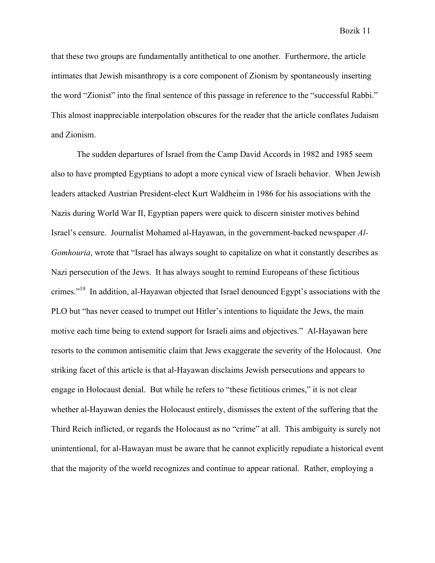that these two groups are fundamentally antithetical to one another. Furthermore, the article intimates that Jewish misanthropy is a core component of Zionism by spontaneously inserting the word "Zionist" into the final sentence of this passage in reference to the "successful Rabbi." This almost inappreciable interpolation obscures for the reader that the article conflates Judaism and Zionism.

The sudden departures of Israel from the Camp David Accords in 1982 and 1985 seem also to have prompted Egyptians to adopt a more cynical view of Israeli behavior. When Jewish leaders attacked Austrian President-elect Kurt Waldheim in 1986 for his associations with the Nazis during World War II, Egyptian papers were quick to discern sinister motives behind Israel's censure. Journalist Mohamed al-Hayawan, in the government-backed newspaper *Al-Gomhouria*, wrote that "Israel has always sought to capitalize on what it constantly describes as Nazi persecution of the Jews. It has always sought to remind Europeans of these fictitious crimes."19 In addition, al-Hayawan objected that Israel denounced Egypt's associations with the PLO but "has never ceased to trumpet out Hitler's intentions to liquidate the Jews, the main motive each time being to extend support for Israeli aims and objectives." Al-Hayawan here resorts to the common antisemitic claim that Jews exaggerate the severity of the Holocaust. One striking facet of this article is that al-Hayawan disclaims Jewish persecutions and appears to engage in Holocaust denial. But while he refers to "these fictitious crimes," it is not clear whether al-Hayawan denies the Holocaust entirely, dismisses the extent of the suffering that the Third Reich inflicted, or regards the Holocaust as no "crime" at all. This ambiguity is surely not unintentional, for al-Hawayan must be aware that he cannot explicitly repudiate a historical event that the majority of the world recognizes and continue to appear rational. Rather, employing a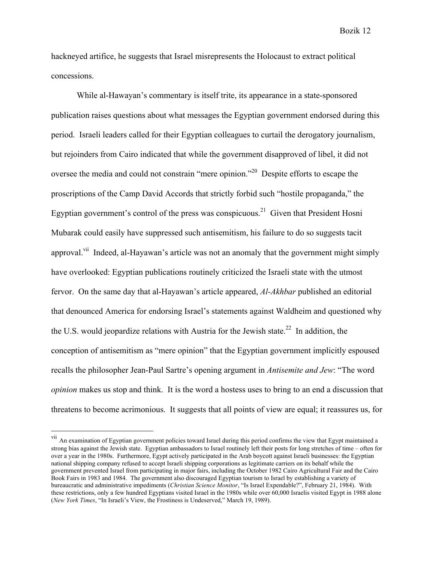hackneyed artifice, he suggests that Israel misrepresents the Holocaust to extract political concessions.

While al-Hawayan's commentary is itself trite, its appearance in a state-sponsored publication raises questions about what messages the Egyptian government endorsed during this period. Israeli leaders called for their Egyptian colleagues to curtail the derogatory journalism, but rejoinders from Cairo indicated that while the government disapproved of libel, it did not oversee the media and could not constrain "mere opinion."20 Despite efforts to escape the proscriptions of the Camp David Accords that strictly forbid such "hostile propaganda," the Egyptian government's control of the press was conspicuous.<sup>21</sup> Given that President Hosni Mubarak could easily have suppressed such antisemitism, his failure to do so suggests tacit approval.<sup>vii</sup> Indeed, al-Hayawan's article was not an anomaly that the government might simply have overlooked: Egyptian publications routinely criticized the Israeli state with the utmost fervor. On the same day that al-Hayawan's article appeared, *Al-Akhbar* published an editorial that denounced America for endorsing Israel's statements against Waldheim and questioned why the U.S. would jeopardize relations with Austria for the Jewish state.<sup>22</sup> In addition, the conception of antisemitism as "mere opinion" that the Egyptian government implicitly espoused recalls the philosopher Jean-Paul Sartre's opening argument in *Antisemite and Jew*: "The word *opinion* makes us stop and think. It is the word a hostess uses to bring to an end a discussion that threatens to become acrimonious. It suggests that all points of view are equal; it reassures us, for

Bozik 12

vii<br>An examination of Egyptian government policies toward Israel during this period confirms the view that Egypt maintained a strong bias against the Jewish state. Egyptian ambassadors to Israel routinely left their posts for long stretches of time – often for over a year in the 1980s. Furthermore, Egypt actively participated in the Arab boycott against Israeli businesses: the Egyptian national shipping company refused to accept Israeli shipping corporations as legitimate carriers on its behalf while the government prevented Israel from participating in major fairs, including the October 1982 Cairo Agricultural Fair and the Cairo Book Fairs in 1983 and 1984. The government also discouraged Egyptian tourism to Israel by establishing a variety of bureaucratic and administrative impediments (*Christian Science Monitor*, "Is Israel Expendable?", February 21, 1984). With these restrictions, only a few hundred Egyptians visited Israel in the 1980s while over 60,000 Israelis visited Egypt in 1988 alone (*New York Times*, "In Israeli's View, the Frostiness is Undeserved," March 19, 1989).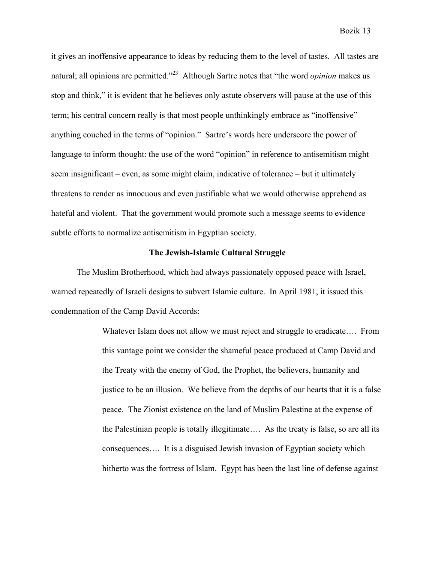it gives an inoffensive appearance to ideas by reducing them to the level of tastes. All tastes are natural; all opinions are permitted.<sup>223</sup> Although Sartre notes that "the word *opinion* makes us stop and think," it is evident that he believes only astute observers will pause at the use of this term; his central concern really is that most people unthinkingly embrace as "inoffensive" anything couched in the terms of "opinion." Sartre's words here underscore the power of language to inform thought: the use of the word "opinion" in reference to antisemitism might seem insignificant – even, as some might claim, indicative of tolerance – but it ultimately threatens to render as innocuous and even justifiable what we would otherwise apprehend as hateful and violent. That the government would promote such a message seems to evidence subtle efforts to normalize antisemitism in Egyptian society.

### **The Jewish-Islamic Cultural Struggle**

The Muslim Brotherhood, which had always passionately opposed peace with Israel, warned repeatedly of Israeli designs to subvert Islamic culture. In April 1981, it issued this condemnation of the Camp David Accords:

> Whatever Islam does not allow we must reject and struggle to eradicate…. From this vantage point we consider the shameful peace produced at Camp David and the Treaty with the enemy of God, the Prophet, the believers, humanity and justice to be an illusion. We believe from the depths of our hearts that it is a false peace. The Zionist existence on the land of Muslim Palestine at the expense of the Palestinian people is totally illegitimate…. As the treaty is false, so are all its consequences…. It is a disguised Jewish invasion of Egyptian society which hitherto was the fortress of Islam. Egypt has been the last line of defense against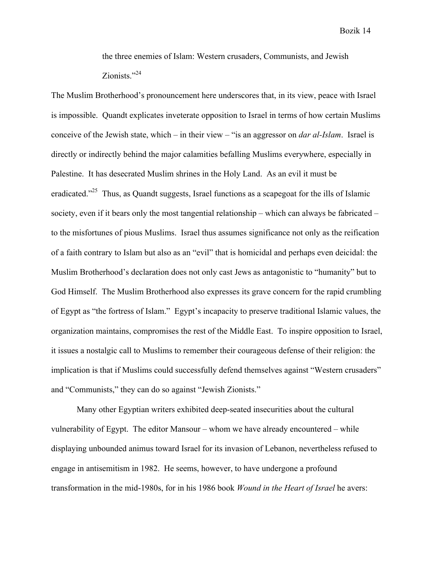the three enemies of Islam: Western crusaders, Communists, and Jewish Zionists."<sup>24</sup>

The Muslim Brotherhood's pronouncement here underscores that, in its view, peace with Israel is impossible. Quandt explicates inveterate opposition to Israel in terms of how certain Muslims conceive of the Jewish state, which – in their view – "is an aggressor on *dar al-Islam*. Israel is directly or indirectly behind the major calamities befalling Muslims everywhere, especially in Palestine. It has desecrated Muslim shrines in the Holy Land. As an evil it must be eradicated. $125$  Thus, as Quandt suggests, Israel functions as a scapegoat for the ills of Islamic society, even if it bears only the most tangential relationship – which can always be fabricated – to the misfortunes of pious Muslims. Israel thus assumes significance not only as the reification of a faith contrary to Islam but also as an "evil" that is homicidal and perhaps even deicidal: the Muslim Brotherhood's declaration does not only cast Jews as antagonistic to "humanity" but to God Himself. The Muslim Brotherhood also expresses its grave concern for the rapid crumbling of Egypt as "the fortress of Islam." Egypt's incapacity to preserve traditional Islamic values, the organization maintains, compromises the rest of the Middle East. To inspire opposition to Israel, it issues a nostalgic call to Muslims to remember their courageous defense of their religion: the implication is that if Muslims could successfully defend themselves against "Western crusaders" and "Communists," they can do so against "Jewish Zionists."

Many other Egyptian writers exhibited deep-seated insecurities about the cultural vulnerability of Egypt. The editor Mansour – whom we have already encountered – while displaying unbounded animus toward Israel for its invasion of Lebanon, nevertheless refused to engage in antisemitism in 1982. He seems, however, to have undergone a profound transformation in the mid-1980s, for in his 1986 book *Wound in the Heart of Israel* he avers: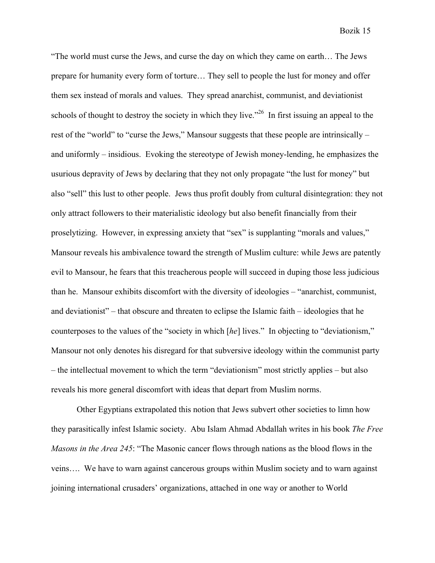"The world must curse the Jews, and curse the day on which they came on earth… The Jews prepare for humanity every form of torture… They sell to people the lust for money and offer them sex instead of morals and values. They spread anarchist, communist, and deviationist schools of thought to destroy the society in which they live.<sup> $26$ </sup> In first issuing an appeal to the rest of the "world" to "curse the Jews," Mansour suggests that these people are intrinsically – and uniformly – insidious. Evoking the stereotype of Jewish money-lending, he emphasizes the usurious depravity of Jews by declaring that they not only propagate "the lust for money" but also "sell" this lust to other people. Jews thus profit doubly from cultural disintegration: they not only attract followers to their materialistic ideology but also benefit financially from their proselytizing. However, in expressing anxiety that "sex" is supplanting "morals and values," Mansour reveals his ambivalence toward the strength of Muslim culture: while Jews are patently evil to Mansour, he fears that this treacherous people will succeed in duping those less judicious than he. Mansour exhibits discomfort with the diversity of ideologies – "anarchist, communist, and deviationist" – that obscure and threaten to eclipse the Islamic faith – ideologies that he counterposes to the values of the "society in which [*he*] lives." In objecting to "deviationism," Mansour not only denotes his disregard for that subversive ideology within the communist party – the intellectual movement to which the term "deviationism" most strictly applies – but also reveals his more general discomfort with ideas that depart from Muslim norms.

Other Egyptians extrapolated this notion that Jews subvert other societies to limn how they parasitically infest Islamic society. Abu Islam Ahmad Abdallah writes in his book *The Free Masons in the Area 245*: "The Masonic cancer flows through nations as the blood flows in the veins…. We have to warn against cancerous groups within Muslim society and to warn against joining international crusaders' organizations, attached in one way or another to World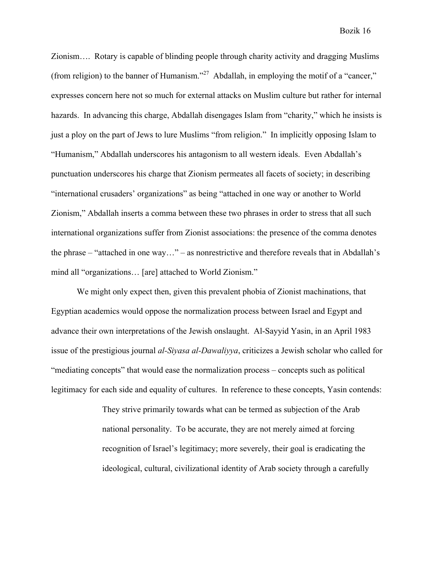Zionism…. Rotary is capable of blinding people through charity activity and dragging Muslims (from religion) to the banner of Humanism."<sup>27</sup> Abdallah, in employing the motif of a "cancer," expresses concern here not so much for external attacks on Muslim culture but rather for internal hazards. In advancing this charge, Abdallah disengages Islam from "charity," which he insists is just a ploy on the part of Jews to lure Muslims "from religion." In implicitly opposing Islam to "Humanism," Abdallah underscores his antagonism to all western ideals. Even Abdallah's punctuation underscores his charge that Zionism permeates all facets of society; in describing "international crusaders' organizations" as being "attached in one way or another to World Zionism," Abdallah inserts a comma between these two phrases in order to stress that all such international organizations suffer from Zionist associations: the presence of the comma denotes the phrase – "attached in one way…" – as nonrestrictive and therefore reveals that in Abdallah's mind all "organizations… [are] attached to World Zionism."

We might only expect then, given this prevalent phobia of Zionist machinations, that Egyptian academics would oppose the normalization process between Israel and Egypt and advance their own interpretations of the Jewish onslaught. Al-Sayyid Yasin, in an April 1983 issue of the prestigious journal *al-Siyasa al-Dawaliyya*, criticizes a Jewish scholar who called for "mediating concepts" that would ease the normalization process – concepts such as political legitimacy for each side and equality of cultures. In reference to these concepts, Yasin contends:

> They strive primarily towards what can be termed as subjection of the Arab national personality. To be accurate, they are not merely aimed at forcing recognition of Israel's legitimacy; more severely, their goal is eradicating the ideological, cultural, civilizational identity of Arab society through a carefully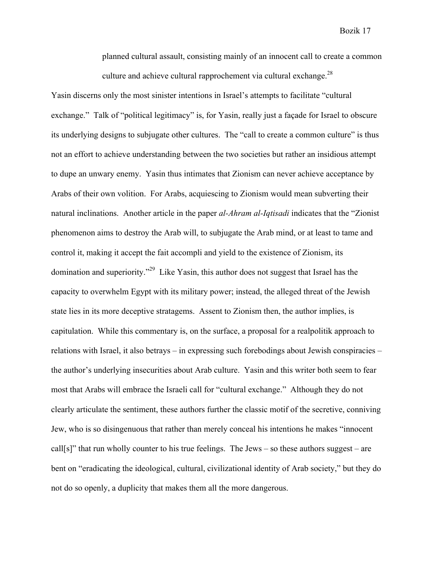planned cultural assault, consisting mainly of an innocent call to create a common culture and achieve cultural rapprochement via cultural exchange.<sup>28</sup>

Yasin discerns only the most sinister intentions in Israel's attempts to facilitate "cultural exchange." Talk of "political legitimacy" is, for Yasin, really just a façade for Israel to obscure its underlying designs to subjugate other cultures. The "call to create a common culture" is thus not an effort to achieve understanding between the two societies but rather an insidious attempt to dupe an unwary enemy. Yasin thus intimates that Zionism can never achieve acceptance by Arabs of their own volition. For Arabs, acquiescing to Zionism would mean subverting their natural inclinations. Another article in the paper *al-Ahram al-Iqtisadi* indicates that the "Zionist phenomenon aims to destroy the Arab will, to subjugate the Arab mind, or at least to tame and control it, making it accept the fait accompli and yield to the existence of Zionism, its domination and superiority."29 Like Yasin, this author does not suggest that Israel has the capacity to overwhelm Egypt with its military power; instead, the alleged threat of the Jewish state lies in its more deceptive stratagems. Assent to Zionism then, the author implies, is capitulation. While this commentary is, on the surface, a proposal for a realpolitik approach to relations with Israel, it also betrays – in expressing such forebodings about Jewish conspiracies – the author's underlying insecurities about Arab culture. Yasin and this writer both seem to fear most that Arabs will embrace the Israeli call for "cultural exchange." Although they do not clearly articulate the sentiment, these authors further the classic motif of the secretive, conniving Jew, who is so disingenuous that rather than merely conceal his intentions he makes "innocent call[s]" that run wholly counter to his true feelings. The Jews – so these authors suggest – are bent on "eradicating the ideological, cultural, civilizational identity of Arab society," but they do not do so openly, a duplicity that makes them all the more dangerous.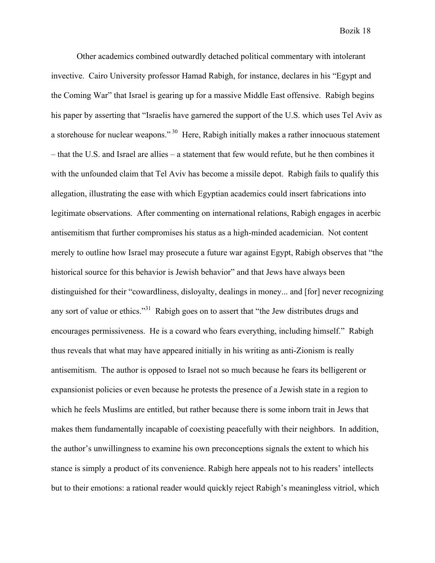Other academics combined outwardly detached political commentary with intolerant invective. Cairo University professor Hamad Rabigh, for instance, declares in his "Egypt and the Coming War" that Israel is gearing up for a massive Middle East offensive. Rabigh begins his paper by asserting that "Israelis have garnered the support of the U.S. which uses Tel Aviv as a storehouse for nuclear weapons."<sup>30</sup> Here, Rabigh initially makes a rather innocuous statement – that the U.S. and Israel are allies – a statement that few would refute, but he then combines it with the unfounded claim that Tel Aviv has become a missile depot. Rabigh fails to qualify this allegation, illustrating the ease with which Egyptian academics could insert fabrications into legitimate observations. After commenting on international relations, Rabigh engages in acerbic antisemitism that further compromises his status as a high-minded academician. Not content merely to outline how Israel may prosecute a future war against Egypt, Rabigh observes that "the historical source for this behavior is Jewish behavior" and that Jews have always been distinguished for their "cowardliness, disloyalty, dealings in money... and [for] never recognizing any sort of value or ethics."<sup>31</sup> Rabigh goes on to assert that "the Jew distributes drugs and encourages permissiveness. He is a coward who fears everything, including himself." Rabigh thus reveals that what may have appeared initially in his writing as anti-Zionism is really antisemitism. The author is opposed to Israel not so much because he fears its belligerent or expansionist policies or even because he protests the presence of a Jewish state in a region to which he feels Muslims are entitled, but rather because there is some inborn trait in Jews that makes them fundamentally incapable of coexisting peacefully with their neighbors. In addition, the author's unwillingness to examine his own preconceptions signals the extent to which his stance is simply a product of its convenience. Rabigh here appeals not to his readers' intellects but to their emotions: a rational reader would quickly reject Rabigh's meaningless vitriol, which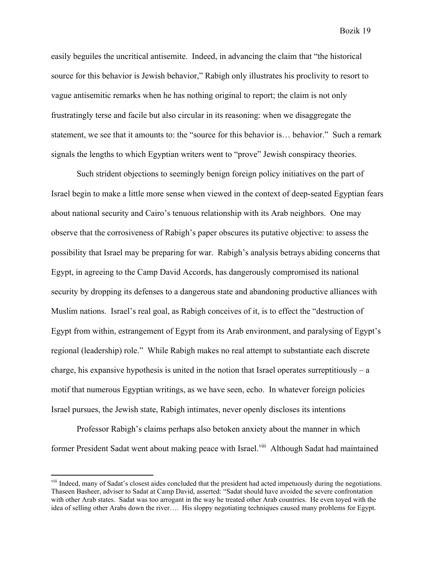easily beguiles the uncritical antisemite. Indeed, in advancing the claim that "the historical source for this behavior is Jewish behavior," Rabigh only illustrates his proclivity to resort to vague antisemitic remarks when he has nothing original to report; the claim is not only frustratingly terse and facile but also circular in its reasoning: when we disaggregate the statement, we see that it amounts to: the "source for this behavior is… behavior." Such a remark signals the lengths to which Egyptian writers went to "prove" Jewish conspiracy theories.

Such strident objections to seemingly benign foreign policy initiatives on the part of Israel begin to make a little more sense when viewed in the context of deep-seated Egyptian fears about national security and Cairo's tenuous relationship with its Arab neighbors. One may observe that the corrosiveness of Rabigh's paper obscures its putative objective: to assess the possibility that Israel may be preparing for war. Rabigh's analysis betrays abiding concerns that Egypt, in agreeing to the Camp David Accords, has dangerously compromised its national security by dropping its defenses to a dangerous state and abandoning productive alliances with Muslim nations. Israel's real goal, as Rabigh conceives of it, is to effect the "destruction of Egypt from within, estrangement of Egypt from its Arab environment, and paralysing of Egypt's regional (leadership) role." While Rabigh makes no real attempt to substantiate each discrete charge, his expansive hypothesis is united in the notion that Israel operates surreptitiously – a motif that numerous Egyptian writings, as we have seen, echo. In whatever foreign policies Israel pursues, the Jewish state, Rabigh intimates, never openly discloses its intentions

Professor Rabigh's claims perhaps also betoken anxiety about the manner in which former President Sadat went about making peace with Israel.<sup>viii</sup> Although Sadat had maintained

<sup>&</sup>lt;sup>viii</sup> Indeed, many of Sadat's closest aides concluded that the president had acted impetuously during the negotiations. Thaseen Basheer, adviser to Sadat at Camp David, asserted: "Sadat should have avoided the severe confrontation with other Arab states. Sadat was too arrogant in the way he treated other Arab countries. He even toyed with the idea of selling other Arabs down the river…. His sloppy negotiating techniques caused many problems for Egypt.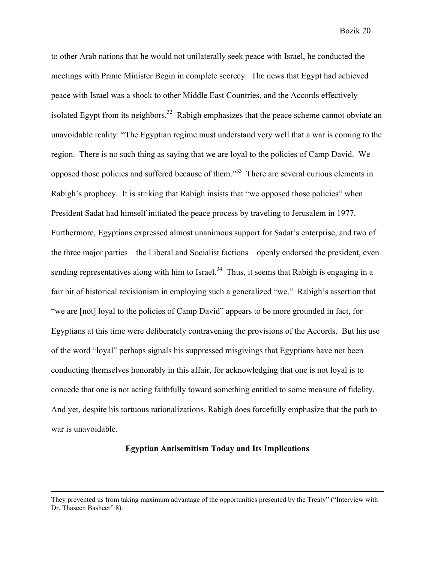to other Arab nations that he would not unilaterally seek peace with Israel, he conducted the meetings with Prime Minister Begin in complete secrecy. The news that Egypt had achieved peace with Israel was a shock to other Middle East Countries, and the Accords effectively isolated Egypt from its neighbors.<sup>32</sup> Rabigh emphasizes that the peace scheme cannot obviate an unavoidable reality: "The Egyptian regime must understand very well that a war is coming to the region. There is no such thing as saying that we are loyal to the policies of Camp David. We opposed those policies and suffered because of them."33 There are several curious elements in Rabigh's prophecy. It is striking that Rabigh insists that "we opposed those policies" when President Sadat had himself initiated the peace process by traveling to Jerusalem in 1977. Furthermore, Egyptians expressed almost unanimous support for Sadat's enterprise, and two of the three major parties – the Liberal and Socialist factions – openly endorsed the president, even sending representatives along with him to Israel.<sup>34</sup> Thus, it seems that Rabigh is engaging in a fair bit of historical revisionism in employing such a generalized "we." Rabigh's assertion that "we are [not] loyal to the policies of Camp David" appears to be more grounded in fact, for Egyptians at this time were deliberately contravening the provisions of the Accords. But his use of the word "loyal" perhaps signals his suppressed misgivings that Egyptians have not been conducting themselves honorably in this affair, for acknowledging that one is not loyal is to concede that one is not acting faithfully toward something entitled to some measure of fidelity. And yet, despite his tortuous rationalizations, Rabigh does forcefully emphasize that the path to war is unavoidable.

#### **Egyptian Antisemitism Today and Its Implications**

 $\overline{a}$ 

They prevented us from taking maximum advantage of the opportunities presented by the Treaty" ("Interview with Dr. Thaseen Basheer" 8).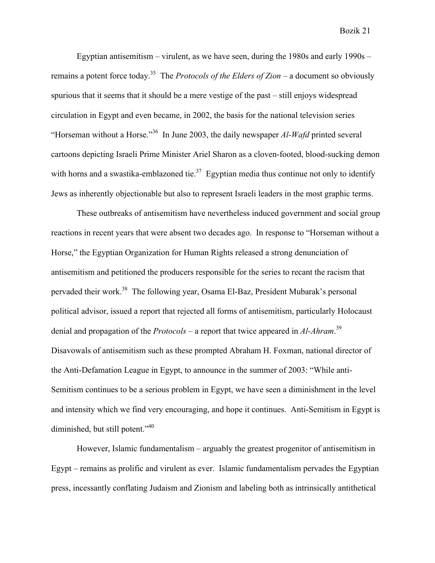Egyptian antisemitism – virulent, as we have seen, during the 1980s and early 1990s – remains a potent force today.35 The *Protocols of the Elders of Zion* – a document so obviously spurious that it seems that it should be a mere vestige of the past – still enjoys widespread circulation in Egypt and even became, in 2002, the basis for the national television series "Horseman without a Horse."36 In June 2003, the daily newspaper *Al-Wafd* printed several cartoons depicting Israeli Prime Minister Ariel Sharon as a cloven-footed, blood-sucking demon with horns and a swastika-emblazoned tie.<sup>37</sup> Egyptian media thus continue not only to identify Jews as inherently objectionable but also to represent Israeli leaders in the most graphic terms.

These outbreaks of antisemitism have nevertheless induced government and social group reactions in recent years that were absent two decades ago. In response to "Horseman without a Horse," the Egyptian Organization for Human Rights released a strong denunciation of antisemitism and petitioned the producers responsible for the series to recant the racism that pervaded their work.38 The following year, Osama El-Baz, President Mubarak's personal political advisor, issued a report that rejected all forms of antisemitism, particularly Holocaust denial and propagation of the *Protocols* – a report that twice appeared in *Al-Ahram*. 39 Disavowals of antisemitism such as these prompted Abraham H. Foxman, national director of the Anti-Defamation League in Egypt, to announce in the summer of 2003: "While anti-Semitism continues to be a serious problem in Egypt, we have seen a diminishment in the level and intensity which we find very encouraging, and hope it continues. Anti-Semitism in Egypt is diminished, but still potent."<sup>40</sup>

However, Islamic fundamentalism – arguably the greatest progenitor of antisemitism in Egypt – remains as prolific and virulent as ever. Islamic fundamentalism pervades the Egyptian press, incessantly conflating Judaism and Zionism and labeling both as intrinsically antithetical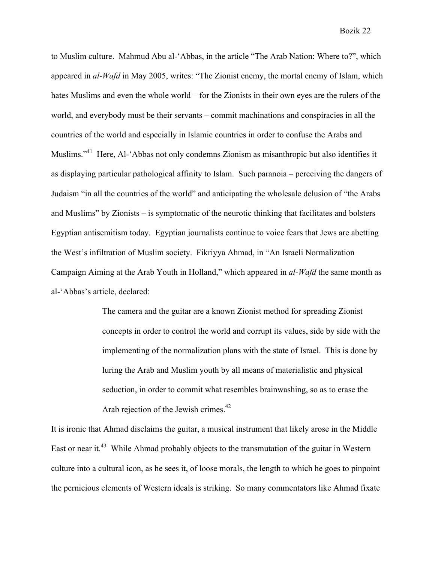to Muslim culture. Mahmud Abu al-'Abbas, in the article "The Arab Nation: Where to?", which appeared in *al-Wafd* in May 2005, writes: "The Zionist enemy, the mortal enemy of Islam, which hates Muslims and even the whole world – for the Zionists in their own eyes are the rulers of the world, and everybody must be their servants – commit machinations and conspiracies in all the countries of the world and especially in Islamic countries in order to confuse the Arabs and Muslims."41 Here, Al-'Abbas not only condemns Zionism as misanthropic but also identifies it as displaying particular pathological affinity to Islam. Such paranoia – perceiving the dangers of Judaism "in all the countries of the world" and anticipating the wholesale delusion of "the Arabs and Muslims" by Zionists – is symptomatic of the neurotic thinking that facilitates and bolsters Egyptian antisemitism today. Egyptian journalists continue to voice fears that Jews are abetting the West's infiltration of Muslim society. Fikriyya Ahmad, in "An Israeli Normalization Campaign Aiming at the Arab Youth in Holland," which appeared in *al-Wafd* the same month as al-'Abbas's article, declared:

> The camera and the guitar are a known Zionist method for spreading Zionist concepts in order to control the world and corrupt its values, side by side with the implementing of the normalization plans with the state of Israel. This is done by luring the Arab and Muslim youth by all means of materialistic and physical seduction, in order to commit what resembles brainwashing, so as to erase the Arab rejection of the Jewish crimes.<sup>42</sup>

It is ironic that Ahmad disclaims the guitar, a musical instrument that likely arose in the Middle East or near it.<sup>43</sup> While Ahmad probably objects to the transmutation of the guitar in Western culture into a cultural icon, as he sees it, of loose morals, the length to which he goes to pinpoint the pernicious elements of Western ideals is striking. So many commentators like Ahmad fixate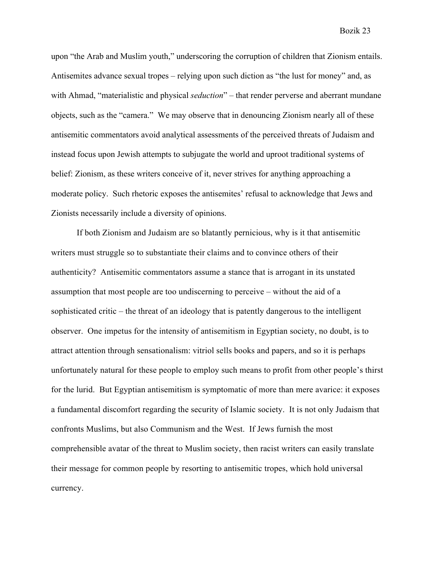upon "the Arab and Muslim youth," underscoring the corruption of children that Zionism entails. Antisemites advance sexual tropes – relying upon such diction as "the lust for money" and, as with Ahmad, "materialistic and physical *seduction*" – that render perverse and aberrant mundane objects, such as the "camera." We may observe that in denouncing Zionism nearly all of these antisemitic commentators avoid analytical assessments of the perceived threats of Judaism and instead focus upon Jewish attempts to subjugate the world and uproot traditional systems of belief: Zionism, as these writers conceive of it, never strives for anything approaching a moderate policy. Such rhetoric exposes the antisemites' refusal to acknowledge that Jews and Zionists necessarily include a diversity of opinions.

If both Zionism and Judaism are so blatantly pernicious, why is it that antisemitic writers must struggle so to substantiate their claims and to convince others of their authenticity? Antisemitic commentators assume a stance that is arrogant in its unstated assumption that most people are too undiscerning to perceive – without the aid of a sophisticated critic – the threat of an ideology that is patently dangerous to the intelligent observer. One impetus for the intensity of antisemitism in Egyptian society, no doubt, is to attract attention through sensationalism: vitriol sells books and papers, and so it is perhaps unfortunately natural for these people to employ such means to profit from other people's thirst for the lurid. But Egyptian antisemitism is symptomatic of more than mere avarice: it exposes a fundamental discomfort regarding the security of Islamic society. It is not only Judaism that confronts Muslims, but also Communism and the West. If Jews furnish the most comprehensible avatar of the threat to Muslim society, then racist writers can easily translate their message for common people by resorting to antisemitic tropes, which hold universal currency.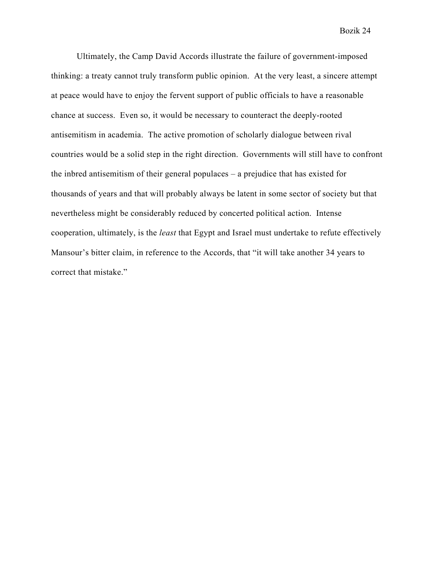Ultimately, the Camp David Accords illustrate the failure of government-imposed thinking: a treaty cannot truly transform public opinion. At the very least, a sincere attempt at peace would have to enjoy the fervent support of public officials to have a reasonable chance at success. Even so, it would be necessary to counteract the deeply-rooted antisemitism in academia. The active promotion of scholarly dialogue between rival countries would be a solid step in the right direction. Governments will still have to confront the inbred antisemitism of their general populaces – a prejudice that has existed for thousands of years and that will probably always be latent in some sector of society but that nevertheless might be considerably reduced by concerted political action. Intense cooperation, ultimately, is the *least* that Egypt and Israel must undertake to refute effectively Mansour's bitter claim, in reference to the Accords, that "it will take another 34 years to correct that mistake."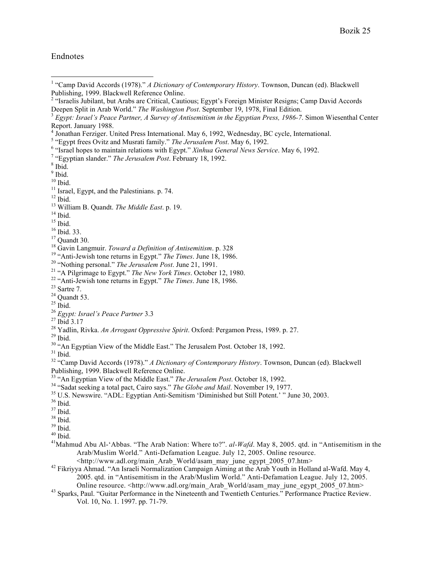## Endnotes

1 "Camp David Accords (1978)." *<sup>A</sup> Dictionary of Contemporary History*. Townson, Duncan (ed). Blackwell

- 
- 
- 
- 
- 
- 
- 
- 
- 
- 
- 
- 

Publishing, 1999. Blackwell Reference Online.<br>
<sup>33</sup> "An Egyptian View of the Middle East." *The Jerusalem Post*. October 18, 1992.<br>
<sup>34</sup> "Sadat seeking a total pact, Cairo says." *The Globe and Mail*. November 19, 1977.<br>
<sup></sup>

- 
- 
- 

Arab/Muslim World." Anti-Defamation League. July 12, 2005. Online resource.

- <http://www.adl.org/main\_Arab\_World/asam\_may\_june\_egypt\_2005\_07.htm> <sup>42</sup> Fikriyya Ahmad. "An Israeli Normalization Campaign Aiming at the Arab Youth in Holland al-Wafd. May 4, 2005. qtd. in "Antisemitism in the Arab/Muslim World." Anti-Defamation League. July 12, 2005.<br>Online resource. <http://www.adl.org/main Arab World/asam may june egypt 2005 07.htm>
- <sup>43</sup> Sparks, Paul. "Guitar Performance in the Nineteenth and Twentieth Centuries." Performance Practice Review. Vol. 10, No. 1. 1997. pp. 71-79.

<sup>&</sup>lt;sup>2</sup> "Israelis Jubilant, but Arabs are Critical, Cautious; Egypt's Foreign Minister Resigns; Camp David Accords Deepen Split in Arab World." The Washington Post. September 19, 1978, Final Edition.<br><sup>3</sup> Egypt: Israel's Peace Partner, A Survey of Antisemitism in the Egyptian Press, 1986-7. Simon Wiesenthal Center

Report. Jamany 1988.<br>
Scaling Figure 1, Thinking Tores International. May 6, 1992, Wednesday, BC cycle, International.<br>
<sup>5</sup> sligypt frees Ovitz and Musrati family." *The Jerusalem Post.* May 6, 1992.<br>
<sup>6</sup> sligypt frees Ovi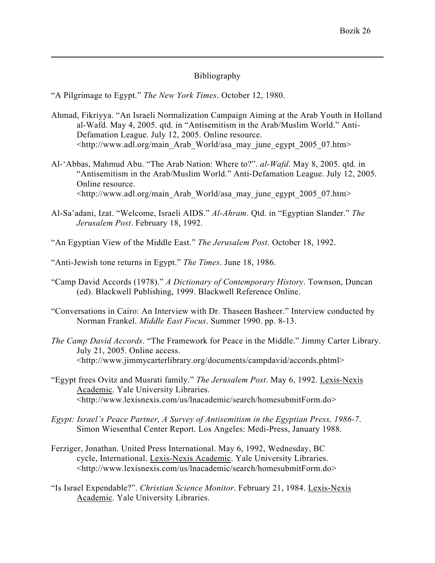# Bibliography

"A Pilgrimage to Egypt." *The New York Times*. October 12, 1980.

 $\overline{a}$ 

- Ahmad, Fikriyya. "An Israeli Normalization Campaign Aiming at the Arab Youth in Holland al-Wafd. May 4, 2005. qtd. in "Antisemitism in the Arab/Muslim World." Anti-Defamation League. July 12, 2005. Online resource. <http://www.adl.org/main\_Arab\_World/asa\_may\_june\_egypt\_2005\_07.htm>
- Al-'Abbas, Mahmud Abu. "The Arab Nation: Where to?". *al-Wafd*. May 8, 2005. qtd. in "Antisemitism in the Arab/Muslim World." Anti-Defamation League. July 12, 2005. Online resource. <http://www.adl.org/main\_Arab\_World/asa\_may\_june\_egypt\_2005\_07.htm>
- Al-Sa'adani, Izat. "Welcome, Israeli AIDS." *Al-Ahram*. Qtd. in "Egyptian Slander." *The Jerusalem Post*. February 18, 1992.
- "An Egyptian View of the Middle East." *The Jerusalem Post*. October 18, 1992.
- "Anti-Jewish tone returns in Egypt." *The Times*. June 18, 1986.
- "Camp David Accords (1978)." *A Dictionary of Contemporary History*. Townson, Duncan (ed). Blackwell Publishing, 1999. Blackwell Reference Online.
- "Conversations in Cairo: An Interview with Dr. Thaseen Basheer." Interview conducted by Norman Frankel. *Middle East Focus*. Summer 1990. pp. 8-13.
- *The Camp David Accords*. "The Framework for Peace in the Middle." Jimmy Carter Library. July 21, 2005. Online access. <http://www.jimmycarterlibrary.org/documents/campdavid/accords.phtml>
- "Egypt frees Ovitz and Musrati family." *The Jerusalem Post*. May 6, 1992. Lexis-Nexis Academic. Yale University Libraries. <http://www.lexisnexis.com/us/lnacademic/search/homesubmitForm.do>
- *Egypt: Israel's Peace Partner, A Survey of Antisemitism in the Egyptian Press, 1986-7*. Simon Wiesenthal Center Report. Los Angeles: Medi-Press, January 1988.
- Ferziger, Jonathan. United Press International. May 6, 1992, Wednesday, BC cycle, International. Lexis-Nexis Academic. Yale University Libraries. <http://www.lexisnexis.com/us/lnacademic/search/homesubmitForm.do>
- "Is Israel Expendable?". *Christian Science Monitor*. February 21, 1984. Lexis-Nexis Academic. Yale University Libraries.